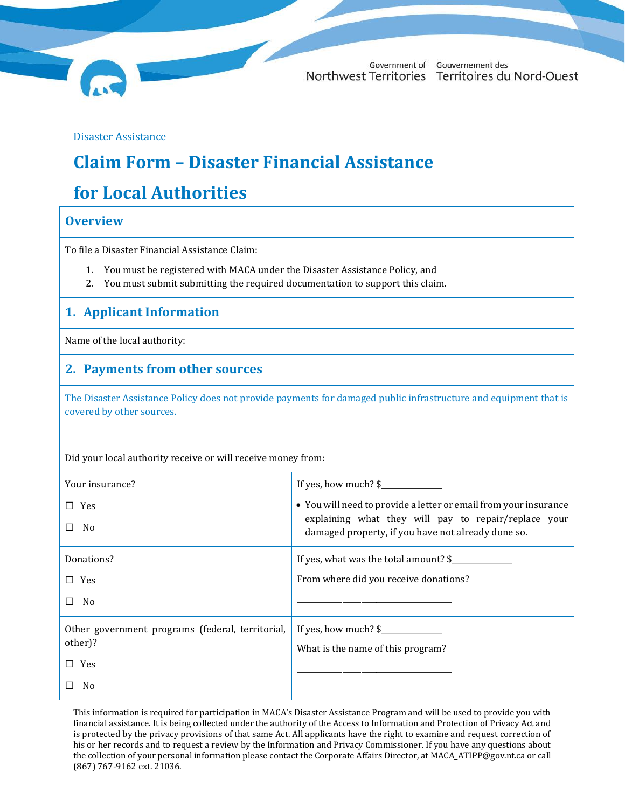

Government of Gouvernement des Northwest Territories Territoires du Nord-Ouest

Disaster Assistance

# **Claim Form – Disaster Financial Assistance**

# **for Local Authorities**

#### **Overview**

To file a Disaster Financial Assistance Claim:

- 1. You must be registered with MACA under the Disaster Assistance Policy, and
- 2. You must submit submitting the required documentation to support this claim.

### **1. Applicant Information**

Name of the local authority:

#### **2. Payments from other sources**

The Disaster Assistance Policy does not provide payments for damaged public infrastructure and equipment that is covered by other sources.

Did your local authority receive or will receive money from:

| Your insurance?                                  |                                                                                                            |
|--------------------------------------------------|------------------------------------------------------------------------------------------------------------|
| $\Box$ Yes                                       | • You will need to provide a letter or email from your insurance                                           |
| No.<br>П                                         | explaining what they will pay to repair/replace your<br>damaged property, if you have not already done so. |
| Donations?                                       | If yes, what was the total amount? \$                                                                      |
| $\Box$ Yes                                       | From where did you receive donations?                                                                      |
| $\square$ No                                     |                                                                                                            |
| Other government programs (federal, territorial, |                                                                                                            |
| other)?                                          | What is the name of this program?                                                                          |
| $\Box$ Yes                                       |                                                                                                            |
| N <sub>0</sub><br>ΙI                             |                                                                                                            |

This information is required for participation in MACA's Disaster Assistance Program and will be used to provide you with financial assistance. It is being collected under the authority of the Access to Information and Protection of Privacy Act and is protected by the privacy provisions of that same Act. All applicants have the right to examine and request correction of his or her records and to request a review by the Information and Privacy Commissioner. If you have any questions about the collection of your personal information please contact the Corporate Affairs Director, a[t MACA\\_ATIPP@gov.nt.ca](mailto:MACA_ATIPP@gov.nt.ca) or call (867) 767-9162 ext. 21036.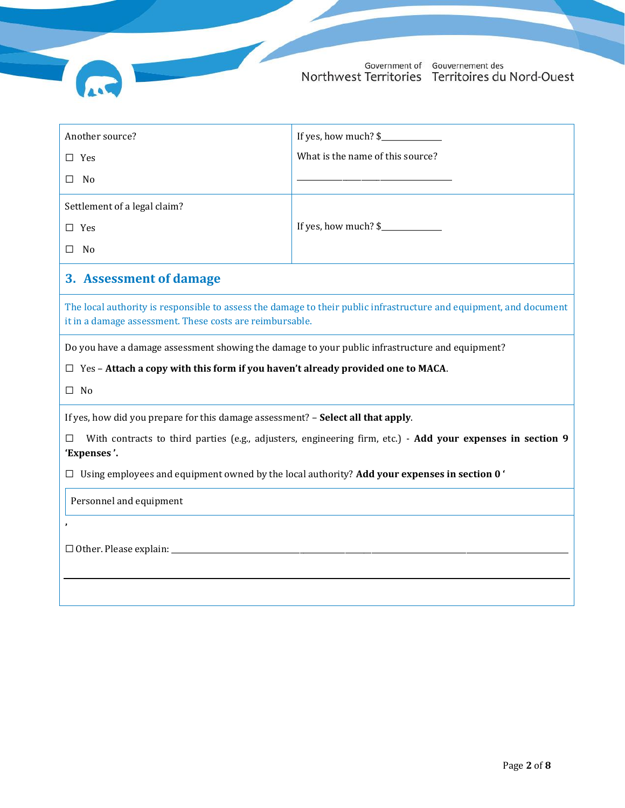

| Another source?                                                                                                                                                                | If yes, how much? \$             |  |  |  |
|--------------------------------------------------------------------------------------------------------------------------------------------------------------------------------|----------------------------------|--|--|--|
| $\square$ Yes                                                                                                                                                                  | What is the name of this source? |  |  |  |
| No<br>□                                                                                                                                                                        |                                  |  |  |  |
| Settlement of a legal claim?                                                                                                                                                   |                                  |  |  |  |
| $\square$ Yes                                                                                                                                                                  | If yes, how much? \$             |  |  |  |
| $\Box$<br>- No                                                                                                                                                                 |                                  |  |  |  |
| 3. Assessment of damage                                                                                                                                                        |                                  |  |  |  |
| The local authority is responsible to assess the damage to their public infrastructure and equipment, and document<br>it in a damage assessment. These costs are reimbursable. |                                  |  |  |  |
| Do you have a damage assessment showing the damage to your public infrastructure and equipment?                                                                                |                                  |  |  |  |
| $\Box$ Yes – Attach a copy with this form if you haven't already provided one to MACA.                                                                                         |                                  |  |  |  |
| $\Box$ No                                                                                                                                                                      |                                  |  |  |  |
| If yes, how did you prepare for this damage assessment? - Select all that apply.                                                                                               |                                  |  |  |  |
| With contracts to third parties (e.g., adjusters, engineering firm, etc.) - Add your expenses in section 9<br>П<br>'Expenses'.                                                 |                                  |  |  |  |
| $\Box$ Using employees and equipment owned by the local authority? Add your expenses in section 0                                                                              |                                  |  |  |  |
|                                                                                                                                                                                |                                  |  |  |  |
| Personnel and equipment                                                                                                                                                        |                                  |  |  |  |
|                                                                                                                                                                                |                                  |  |  |  |
|                                                                                                                                                                                |                                  |  |  |  |
|                                                                                                                                                                                |                                  |  |  |  |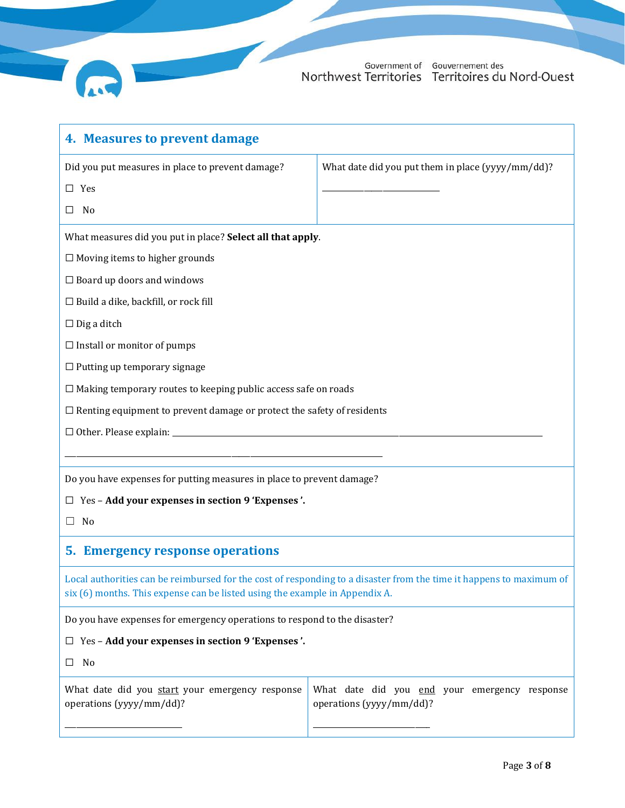

<span id="page-2-0"></span>

| 4. Measures to prevent damage                                                                                                                                                                      |                                                                           |  |  |  |  |
|----------------------------------------------------------------------------------------------------------------------------------------------------------------------------------------------------|---------------------------------------------------------------------------|--|--|--|--|
| Did you put measures in place to prevent damage?                                                                                                                                                   | What date did you put them in place (yyyy/mm/dd)?                         |  |  |  |  |
| $\square$ Yes                                                                                                                                                                                      |                                                                           |  |  |  |  |
| No<br>ப                                                                                                                                                                                            |                                                                           |  |  |  |  |
| What measures did you put in place? Select all that apply.                                                                                                                                         |                                                                           |  |  |  |  |
| $\Box$ Moving items to higher grounds                                                                                                                                                              |                                                                           |  |  |  |  |
| $\Box$ Board up doors and windows                                                                                                                                                                  |                                                                           |  |  |  |  |
| $\Box$ Build a dike, backfill, or rock fill                                                                                                                                                        |                                                                           |  |  |  |  |
| $\Box$ Dig a ditch                                                                                                                                                                                 |                                                                           |  |  |  |  |
| $\Box$ Install or monitor of pumps                                                                                                                                                                 |                                                                           |  |  |  |  |
| $\Box$ Putting up temporary signage                                                                                                                                                                |                                                                           |  |  |  |  |
| $\Box$ Making temporary routes to keeping public access safe on roads                                                                                                                              |                                                                           |  |  |  |  |
| $\Box$ Renting equipment to prevent damage or protect the safety of residents                                                                                                                      |                                                                           |  |  |  |  |
|                                                                                                                                                                                                    |                                                                           |  |  |  |  |
|                                                                                                                                                                                                    |                                                                           |  |  |  |  |
| Do you have expenses for putting measures in place to prevent damage?                                                                                                                              |                                                                           |  |  |  |  |
| $\Box$ Yes - Add your expenses in section 9 'Expenses'.                                                                                                                                            |                                                                           |  |  |  |  |
| No<br>$\perp$                                                                                                                                                                                      |                                                                           |  |  |  |  |
| 5. Emergency response operations                                                                                                                                                                   |                                                                           |  |  |  |  |
| Local authorities can be reimbursed for the cost of responding to a disaster from the time it happens to maximum of<br>six (6) months. This expense can be listed using the example in Appendix A. |                                                                           |  |  |  |  |
| Do you have expenses for emergency operations to respond to the disaster?                                                                                                                          |                                                                           |  |  |  |  |
| $\Box$ Yes - Add your expenses in section 9 'Expenses'.                                                                                                                                            |                                                                           |  |  |  |  |
| No<br>⊔                                                                                                                                                                                            |                                                                           |  |  |  |  |
| What date did you start your emergency response<br>operations (yyyy/mm/dd)?                                                                                                                        | What date did you end your emergency response<br>operations (yyyy/mm/dd)? |  |  |  |  |
|                                                                                                                                                                                                    |                                                                           |  |  |  |  |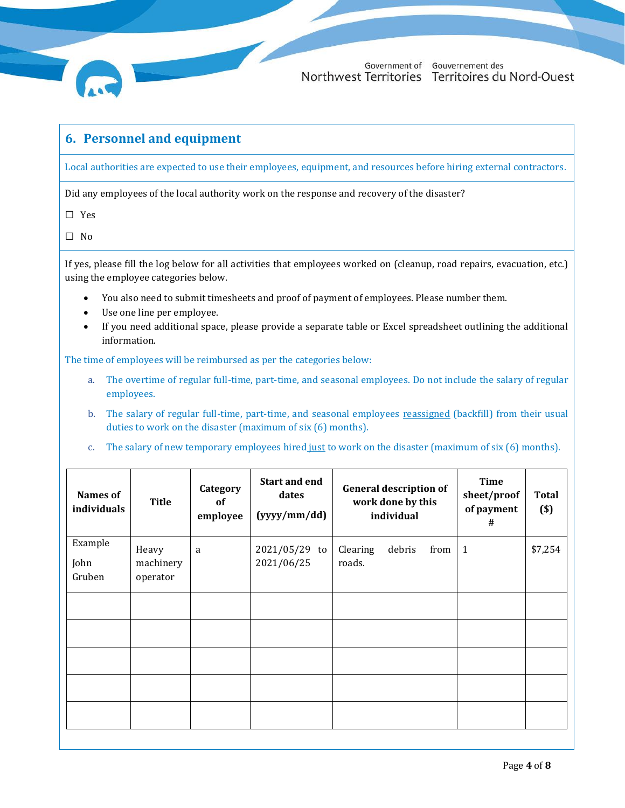

#### **6. Personnel and equipment**

Local authorities are expected to use their employees, equipment, and resources before hiring external contractors.

Did any employees of the local authority work on the response and recovery of the disaster?

☐ Yes

☐ No

If yes, please fill the log below for all activities that employees worked on (cleanup, road repairs, evacuation, etc.) using the employee categories below.

- You also need to submit timesheets and proof of payment of employees. Please number them.
- Use one line per employee.
- If you need additional space, please provide a separate table or Excel spreadsheet outlining the additional information.

The time of employees will be reimbursed as per the categories below:

- a. The overtime of regular full-time, part-time, and seasonal employees. Do not include the salary of regular employees.
- b. The salary of regular full-time, part-time, and seasonal employees reassigned (backfill) from their usual duties to work on the disaster (maximum of six (6) months).
- c. The salary of new temporary employees hired just to work on the disaster (maximum of six (6) months).

| <b>Names of</b><br>individuals | <b>Title</b>                   | Category<br>of<br>employee | <b>Start and end</b><br>dates<br>(yyyy/mm/dd) | <b>General description of</b><br>work done by this<br>individual | <b>Time</b><br>sheet/proof<br>of payment<br># | <b>Total</b><br>$(s)$ |
|--------------------------------|--------------------------------|----------------------------|-----------------------------------------------|------------------------------------------------------------------|-----------------------------------------------|-----------------------|
| Example<br>John<br>Gruben      | Heavy<br>machinery<br>operator | a                          | 2021/05/29 to<br>2021/06/25                   | Clearing<br>debris<br>from<br>roads.                             | $\mathbf{1}$                                  | \$7,254               |
|                                |                                |                            |                                               |                                                                  |                                               |                       |
|                                |                                |                            |                                               |                                                                  |                                               |                       |
|                                |                                |                            |                                               |                                                                  |                                               |                       |
|                                |                                |                            |                                               |                                                                  |                                               |                       |
|                                |                                |                            |                                               |                                                                  |                                               |                       |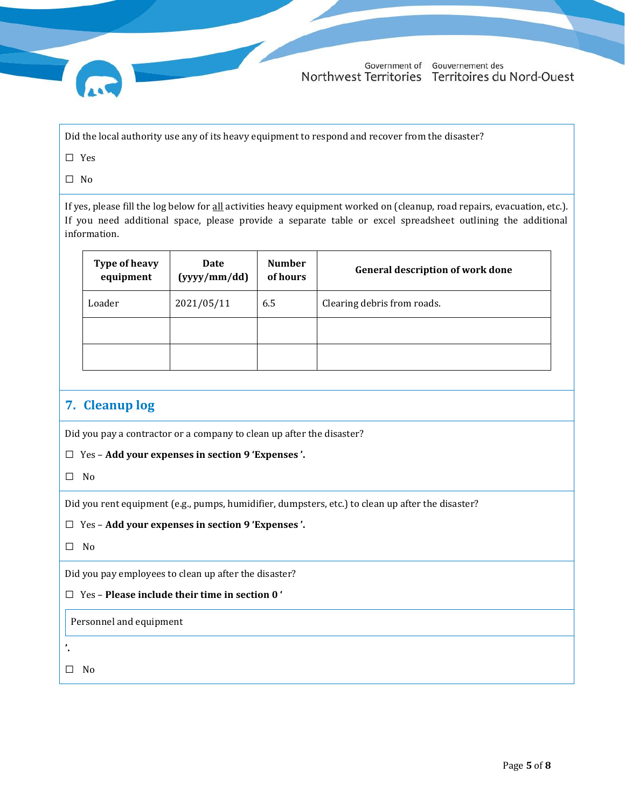Did the local authority use any of its heavy equipment to respond and recover from the disaster?

☐ Yes

☐ No

If yes, please fill the log below for all activities heavy equipment worked on (cleanup, road repairs, evacuation, etc.). If you need additional space, please provide a separate table or excel spreadsheet outlining the additional information.

| <b>Type of heavy</b><br>equipment | Date<br>(yyyy/mm / dd) | <b>Number</b><br>of hours | <b>General description of work done</b> |
|-----------------------------------|------------------------|---------------------------|-----------------------------------------|
| Loader                            | 2021/05/11             | 6.5                       | Clearing debris from roads.             |
|                                   |                        |                           |                                         |
|                                   |                        |                           |                                         |

### **7. Cleanup log**

Did you pay a contractor or a company to clean up after the disaster?

☐ Yes – **Add your expenses in section [9](#page-5-0) '[Expenses](#page-5-0) '.**

☐ No

Did you rent equipment (e.g., pumps, humidifier, dumpsters, etc.) to clean up after the disaster?

☐ Yes – **Add your expenses in section [9](#page-5-0) '[Expenses](#page-5-0) '.**

☐ No

Did you pay employees to clean up after the disaster?

#### ☐ Yes – **Please include their time in sectio[n 0](#page-2-0) ['](#page-2-0)**

[Personnel and equipment](#page-2-0)

**'.**

☐ No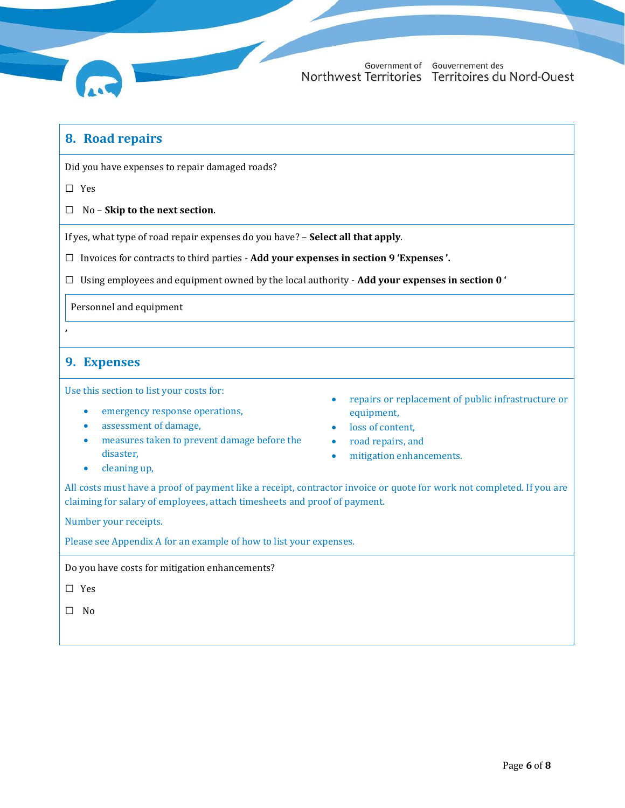

#### **8. Road repairs**

Did you have expenses to repair damaged roads?

☐ Yes

☐ No – **Skip to the next section**.

If yes, what type of road repair expenses do you have? – **Select all that apply**.

☐ Invoices for contracts to third parties - **Add your expenses in section [9](#page-5-0) '[Expenses](#page-5-0) '.**

☐ Using employees and equipment owned by the local authority - **Add your expenses in section [0](#page-2-0) ['](#page-2-0)**

[Personnel and equipment](#page-2-0)

#### <span id="page-5-0"></span>**9. Expenses**

**'**

Use this section to list your costs for:

- emergency response operations,
- assessment of damage,
- measures taken to prevent damage before the disaster,
- cleaning up,
- repairs or replacement of public infrastructure or equipment,
- loss of content,
- road repairs, and
- mitigation enhancements.

All costs must have a proof of payment like a receipt, contractor invoice or quote for work not completed. If you are claiming for salary of employees, attach timesheets and proof of payment.

Number your receipts.

Please see Appendix A for an example of how to list your expenses.

Do you have costs for mitigation enhancements?

☐ Yes

☐ No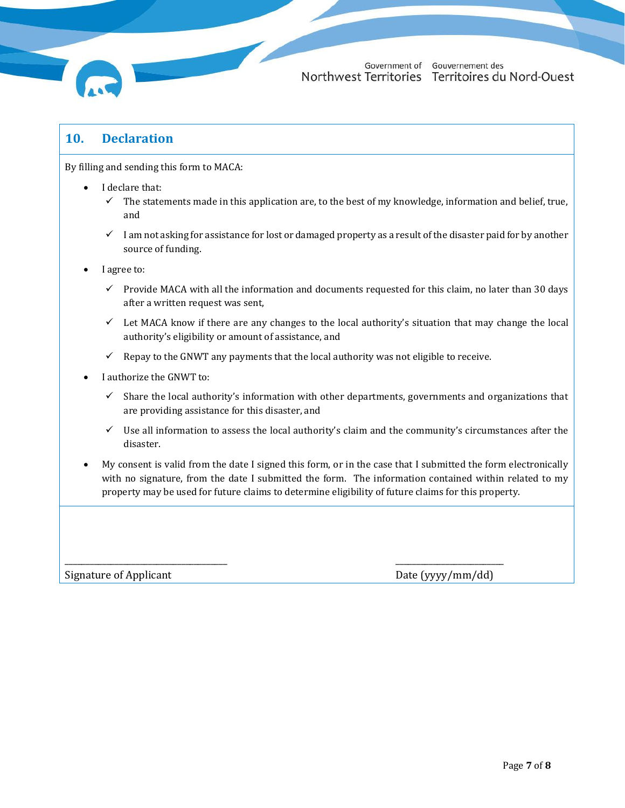

## **10. Declaration**

By filling and sending this form to MACA:

- I declare that:
	- $\checkmark$  The statements made in this application are, to the best of my knowledge, information and belief, true, and
	- ✓ I am not asking for assistance for lost or damaged property as a result of the disaster paid for by another source of funding.
- I agree to:
	- Provide MACA with all the information and documents requested for this claim, no later than 30 days after a written request was sent,
	- $\checkmark$  Let MACA know if there are any changes to the local authority's situation that may change the local authority's eligibility or amount of assistance, and
	- $\checkmark$  Repay to the GNWT any payments that the local authority was not eligible to receive.

\_\_\_\_\_\_\_\_\_\_\_\_\_\_\_\_\_\_\_\_\_\_\_\_\_\_\_\_\_\_\_\_\_\_\_\_\_\_\_ \_\_\_\_\_\_\_\_\_\_\_\_\_\_\_\_\_\_\_\_\_\_\_\_\_\_

- I authorize the GNWT to:
	- $\checkmark$  Share the local authority's information with other departments, governments and organizations that are providing assistance for this disaster, and
	- $\checkmark$  Use all information to assess the local authority's claim and the community's circumstances after the disaster.
- My consent is valid from the date I signed this form, or in the case that I submitted the form electronically with no signature, from the date I submitted the form. The information contained within related to my property may be used for future claims to determine eligibility of future claims for this property.

Signature of Applicant Date (yyyy/mm/dd)